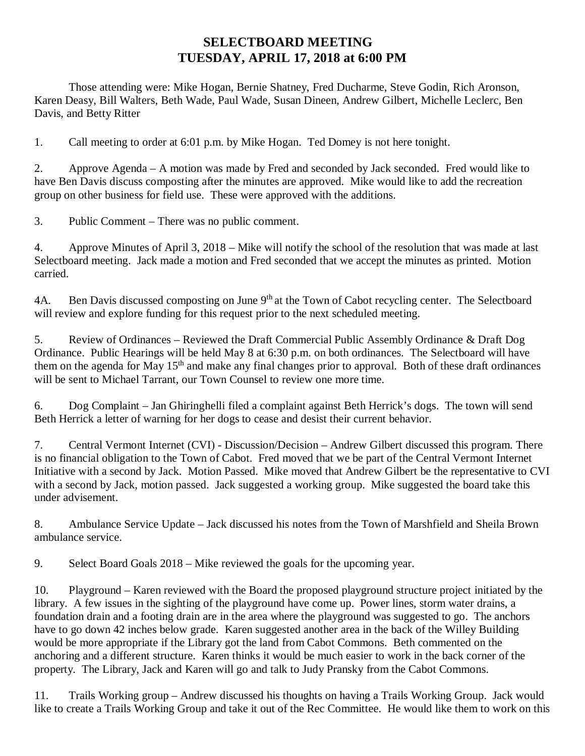## **SELECTBOARD MEETING TUESDAY, APRIL 17, 2018 at 6:00 PM**

Those attending were: Mike Hogan, Bernie Shatney, Fred Ducharme, Steve Godin, Rich Aronson, Karen Deasy, Bill Walters, Beth Wade, Paul Wade, Susan Dineen, Andrew Gilbert, Michelle Leclerc, Ben Davis, and Betty Ritter

1. Call meeting to order at 6:01 p.m. by Mike Hogan. Ted Domey is not here tonight.

2. Approve Agenda – A motion was made by Fred and seconded by Jack seconded. Fred would like to have Ben Davis discuss composting after the minutes are approved. Mike would like to add the recreation group on other business for field use. These were approved with the additions.

3. Public Comment – There was no public comment.

4. Approve Minutes of April 3, 2018 – Mike will notify the school of the resolution that was made at last Selectboard meeting. Jack made a motion and Fred seconded that we accept the minutes as printed. Motion carried.

4A. Ben Davis discussed composting on June 9<sup>th</sup> at the Town of Cabot recycling center. The Selectboard will review and explore funding for this request prior to the next scheduled meeting.

5. Review of Ordinances – Reviewed the Draft Commercial Public Assembly Ordinance & Draft Dog Ordinance. Public Hearings will be held May 8 at 6:30 p.m. on both ordinances. The Selectboard will have them on the agenda for May 15th and make any final changes prior to approval. Both of these draft ordinances will be sent to Michael Tarrant, our Town Counsel to review one more time.

6. Dog Complaint – Jan Ghiringhelli filed a complaint against Beth Herrick's dogs. The town will send Beth Herrick a letter of warning for her dogs to cease and desist their current behavior.

7. Central Vermont Internet (CVI) - Discussion/Decision – Andrew Gilbert discussed this program. There is no financial obligation to the Town of Cabot. Fred moved that we be part of the Central Vermont Internet Initiative with a second by Jack. Motion Passed. Mike moved that Andrew Gilbert be the representative to CVI with a second by Jack, motion passed. Jack suggested a working group. Mike suggested the board take this under advisement.

8. Ambulance Service Update – Jack discussed his notes from the Town of Marshfield and Sheila Brown ambulance service.

9. Select Board Goals 2018 – Mike reviewed the goals for the upcoming year.

10. Playground – Karen reviewed with the Board the proposed playground structure project initiated by the library. A few issues in the sighting of the playground have come up. Power lines, storm water drains, a foundation drain and a footing drain are in the area where the playground was suggested to go. The anchors have to go down 42 inches below grade. Karen suggested another area in the back of the Willey Building would be more appropriate if the Library got the land from Cabot Commons. Beth commented on the anchoring and a different structure. Karen thinks it would be much easier to work in the back corner of the property. The Library, Jack and Karen will go and talk to Judy Pransky from the Cabot Commons.

11. Trails Working group – Andrew discussed his thoughts on having a Trails Working Group. Jack would like to create a Trails Working Group and take it out of the Rec Committee. He would like them to work on this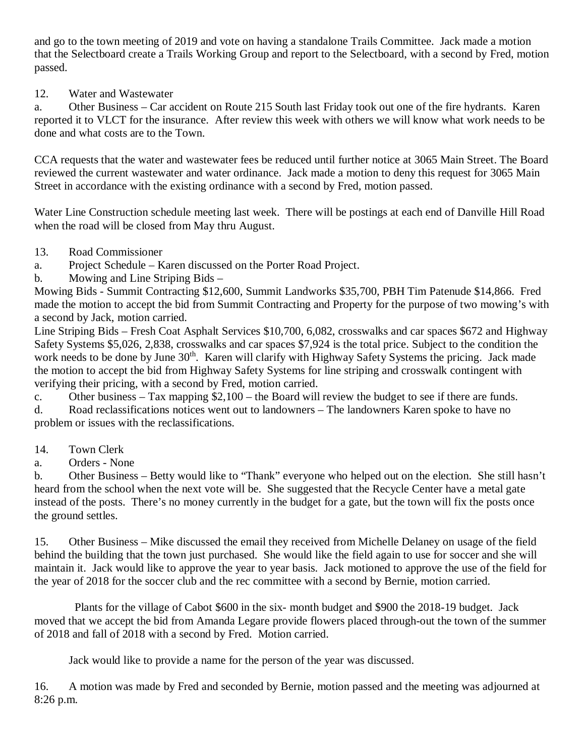and go to the town meeting of 2019 and vote on having a standalone Trails Committee. Jack made a motion that the Selectboard create a Trails Working Group and report to the Selectboard, with a second by Fred, motion passed.

## 12. Water and Wastewater

a. Other Business – Car accident on Route 215 South last Friday took out one of the fire hydrants. Karen reported it to VLCT for the insurance. After review this week with others we will know what work needs to be done and what costs are to the Town.

CCA requests that the water and wastewater fees be reduced until further notice at 3065 Main Street. The Board reviewed the current wastewater and water ordinance. Jack made a motion to deny this request for 3065 Main Street in accordance with the existing ordinance with a second by Fred, motion passed.

Water Line Construction schedule meeting last week. There will be postings at each end of Danville Hill Road when the road will be closed from May thru August.

- 13. Road Commissioner
- a. Project Schedule Karen discussed on the Porter Road Project.
- b. Mowing and Line Striping Bids –

Mowing Bids - Summit Contracting \$12,600, Summit Landworks \$35,700, PBH Tim Patenude \$14,866. Fred made the motion to accept the bid from Summit Contracting and Property for the purpose of two mowing's with a second by Jack, motion carried.

Line Striping Bids – Fresh Coat Asphalt Services \$10,700, 6,082, crosswalks and car spaces \$672 and Highway Safety Systems \$5,026, 2,838, crosswalks and car spaces \$7,924 is the total price. Subject to the condition the work needs to be done by June 30<sup>th</sup>. Karen will clarify with Highway Safety Systems the pricing. Jack made the motion to accept the bid from Highway Safety Systems for line striping and crosswalk contingent with verifying their pricing, with a second by Fred, motion carried.

c. Other business – Tax mapping \$2,100 – the Board will review the budget to see if there are funds.

d. Road reclassifications notices went out to landowners – The landowners Karen spoke to have no problem or issues with the reclassifications.

- 14. Town Clerk
- a. Orders None

b. Other Business – Betty would like to "Thank" everyone who helped out on the election. She still hasn't heard from the school when the next vote will be. She suggested that the Recycle Center have a metal gate instead of the posts. There's no money currently in the budget for a gate, but the town will fix the posts once the ground settles.

15. Other Business – Mike discussed the email they received from Michelle Delaney on usage of the field behind the building that the town just purchased. She would like the field again to use for soccer and she will maintain it. Jack would like to approve the year to year basis. Jack motioned to approve the use of the field for the year of 2018 for the soccer club and the rec committee with a second by Bernie, motion carried.

 Plants for the village of Cabot \$600 in the six- month budget and \$900 the 2018-19 budget. Jack moved that we accept the bid from Amanda Legare provide flowers placed through-out the town of the summer of 2018 and fall of 2018 with a second by Fred. Motion carried.

Jack would like to provide a name for the person of the year was discussed.

16. A motion was made by Fred and seconded by Bernie, motion passed and the meeting was adjourned at 8:26 p.m.